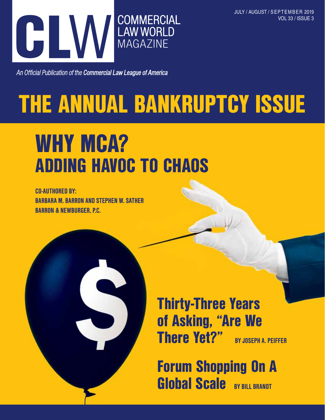JULY / AUGUST / SEPTEMBER 2019 VOL 33 / ISSUE 3



An Official Publication of the Commercial Law League of America

# THE ANNUAL BANKRUPTCY ISSUE

## WHY MCA? ADDING HAVOC TO CHAOS

CO-AUTHORED BY: BARBARA M. BARRON AND STEPHEN W. SATHER BARRON & NEWBURGER, P.C.



Thirty-Three Years of Asking, "Are We There Yet?" BY JOSEPH A. PEIFFER

Forum Shopping On A Global Scale BY BILL BRANDT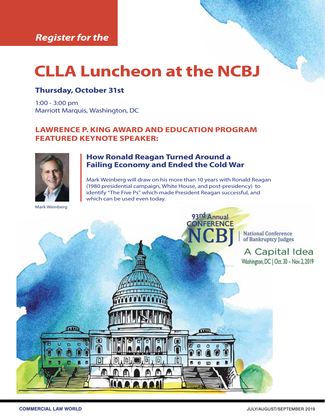## **CLLA Luncheon at the NCBJ**

#### **Thursday, October 31st**

1:00 - 3:00 pm Marriott Marquis, Washington, DC

#### **LAWRENCE P. KING AWARD AND EDUCATION PROGRAM FEATURED KEYNOTE SPEAKER:**



#### **How Ronald Reagan Turned Around a Failing Economy and Ended the Cold War**

Mark Weinberg will draw on his more than 10 years with Ronald Reagan (1980 presidential campaign, White House, and post-presidency) to identify "The Five Ps" which made President Reagan successful, and which can be used even today.